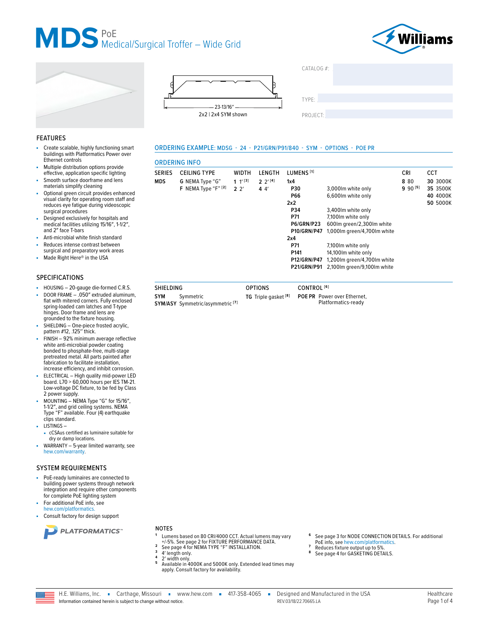







ORDERING EXAMPLE: MDSG - 24 - P21/GRN/P91/840 - SYM - OPTIONS - POE PR

**OPTIONS** 

TG Triple gasket<sup>[8]</sup>

 $CATAIOG #$ **TYPE** 

PROJECT:

## **FEATURES**

- Create scalable, highly functioning smart Î. buildings with Platformatics Power over Ethernet controls
- Multiple distribution options provide effective, application specific lighting
- Smooth surface doorframe and lens ×. materials simplify cleaning
- Optional green circuit provides enhanced visual clarity for operating room staff and<br>reduces eye fatigue during videoscopic surgical procedures
- Designed exclusively for hospitals and medical facilities utilizing 15/16", 1-1/2", and 2" face T-bars
- Anti-microbial white finish standard
- Reduces intense contrast between
- surgical and preparatory work areas Made Right Here® in the USA

#### **SPECIFICATIONS**

- HOUSING 20-gauge die-formed C.R.S. a.
- DOOR FRAME . 050" extruded aluminum, flat with mitered corners. Fully enclosed spring-loaded cam latches and T-type hinges. Door frame and lens are grounded to the fixture housing.
- SHIELDING One-piece frosted acrylic,<br>pattern #12, .125" thick.
- FINISH 92% minimum average reflective white anti-microbial powder coating bonded to phosphate-free, multi-stage pretreated metal. All parts painted after fabrication to facilitate installation, increase efficiency, and inhibit corrosion.
- ELECTRICAL High quality mid-power LED<br>board. L70 > 60,000 hours per IES TM-21. Low-voltage DC fixture, to be fed by Class 2 power supply.
- MOUNTING NEMA Type "G" for 15/16", 1-1/2", and grid ceiling systems. NEMA Type "F" available. Four (4) earthquake clips standard.
- LISTINGS-
- cCSAus certified as luminaire suitable for dry or damp locations.
- WARRANTY 5-year limited warranty, see hew.com/warranty

#### **SYSTEM REQUIREMENTS**

- PoE-ready luminaires are connected to building power systems through network integration and require other components for complete PoE lighting system
- For additional PoE info, see hew.com/platformatics
- Consult factory for design support



**NOTES** 

SHIELDING

Symmetric

SYM/ASY Symmetric/asymmetric<sup>[7]</sup>

SYM

- Lumens based on 80 CRI/4000 CCT. Actual lumens may vary +/-5%. See page 2 for FIXTURE PERFORMANCE DATA.
- See page 4 for NEMA TYPE "F" INSTALLATION.  $\overline{\mathbf{3}}$
- 4' length only.
- 2' width only.<br>Available in 4000K and 5000K only. Extended lead times may apply. Consult factory for availability.
- See page 3 for NODE CONNECTION DETAILS. For additional
- PoE info, see hew.com/platformatics. Reduces fixture output up to 5%
- See page 4 for GASKETING DETAILS.
- 



|        | <b>ORDERING INFO</b>               |                    |                  |                       |                             |              |            |
|--------|------------------------------------|--------------------|------------------|-----------------------|-----------------------------|--------------|------------|
| SERIES | <b>CEILING TYPE</b>                | <b>WIDTH</b>       | LENGTH           | LUMENS <sup>[1]</sup> |                             | <b>CRI</b>   | <b>CCT</b> |
| MDS    | G NEMA Type "G"                    | 1 $1^{\prime}$ [3] | $2 \frac{2}{14}$ | 1x4                   |                             | 8 80         | 30 3000K   |
|        | F NEMA Type " $F$ " <sup>[2]</sup> | $2^{2}$            | 44'              | <b>P30</b>            | 3,000lm white only          | $9.90^{[5]}$ | 35 3500K   |
|        |                                    |                    |                  | <b>P66</b>            | 6,600lm white only          |              | 40 4000K   |
|        |                                    |                    |                  | 2x2                   |                             |              | 50 5000K   |
|        |                                    |                    |                  | P34                   | 3,400 lm white only         |              |            |
|        |                                    |                    |                  | P71                   | 7,100 lm white only         |              |            |
|        |                                    |                    |                  | <b>P6/GRN/P23</b>     | 600lm green/2,300lm white   |              |            |
|        |                                    |                    |                  | <b>P10/GRN/P47</b>    | 1,000lm green/4,700lm white |              |            |
|        |                                    |                    |                  | 2x4                   |                             |              |            |
|        |                                    |                    |                  | P71                   | 7,100 lm white only         |              |            |
|        |                                    |                    |                  | P <sub>141</sub>      | 14,100 lm white only        |              |            |
|        |                                    |                    |                  | <b>P12/GRN/P47</b>    | 1,200lm green/4,700lm white |              |            |
|        |                                    |                    |                  | <b>P21/GRN/P91</b>    | 2,100lm green/9,100lm white |              |            |
|        |                                    |                    |                  |                       |                             |              |            |
|        |                                    |                    |                  |                       |                             |              |            |

CONTROL<sup>[6]</sup>

POE PR Power over Ethernet,

Platformatics-ready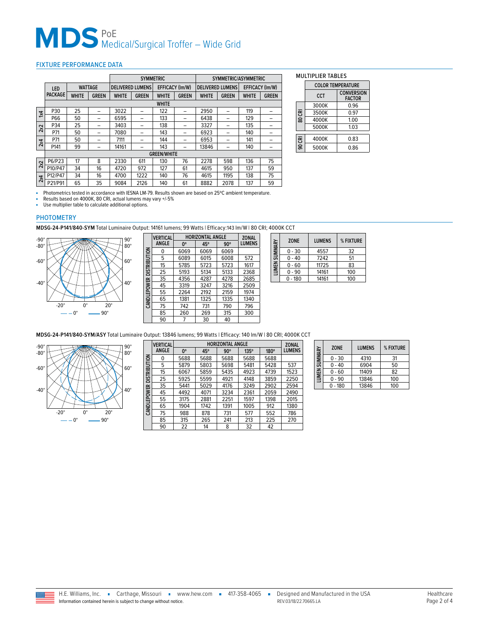# MDS<sup>PoE</sup> Medical/Surgical Troffer – Wide Grid

## <span id="page-1-0"></span>FIXTURE PERFORMANCE DATA

|                         |                    |                |              | <b>SYMMETRIC</b>                                  |              |                                            |              | SYMMETRIC/ASYMMETRIC |              |              |              |
|-------------------------|--------------------|----------------|--------------|---------------------------------------------------|--------------|--------------------------------------------|--------------|----------------------|--------------|--------------|--------------|
|                         | LED                | <b>WATTAGE</b> |              | <b>DELIVERED LUMENS</b><br><b>EFFICACY (Im/W)</b> |              | EFFICACY (Im/W)<br><b>DELIVERED LUMENS</b> |              |                      |              |              |              |
|                         | <b>PACKAGE</b>     | <b>WHITE</b>   | <b>GREEN</b> | <b>WHITE</b>                                      | <b>GREEN</b> | <b>WHITE</b>                               | <b>GREEN</b> | <b>WHITE</b>         | <b>GREEN</b> | <b>WHITE</b> | <b>GREEN</b> |
|                         |                    |                |              |                                                   |              | <b>WHITE</b>                               |              |                      |              |              |              |
| $\overline{\mathbf{x}}$ | P30                | 25             |              | 3022                                              |              | 122                                        |              | 2950                 |              | 119          |              |
|                         | P66                | 50             |              | 6595                                              |              | 133                                        |              | 6438                 |              | 129          |              |
| 2x2                     | P34                | 25             |              | 3403                                              |              | 138                                        | -            | 3327                 | -            | 135          |              |
|                         | P71                | 50             | -            | 7080                                              |              | 143                                        | -            | 6923                 |              | 140          |              |
| 2x4                     | P71                | 50             |              | 7111                                              |              | 144                                        |              | 6953                 |              | 141          |              |
|                         | P141               | 99             |              | 14161                                             |              | 143                                        |              | 13846                |              | 140          |              |
|                         | <b>GREEN/WHITE</b> |                |              |                                                   |              |                                            |              |                      |              |              |              |
| 2x2                     | P6/P23             | 17             | 8            | 2330                                              | 611          | 130                                        | 76           | 2278                 | 598          | 136          | 75           |
|                         | P10/P47            | 34             | 16           | 4720                                              | 972          | 127                                        | 61           | 4615                 | 950          | 137          | 59           |
| 2x4                     | P12/P47            | 34             | 16           | 4700                                              | 1222         | 140                                        | 76           | 4615                 | 1195         | 138          | 75           |
|                         | P21/P91            | 65             | 35           | 9084                                              | 2126         | 140                                        | 61           | 8882                 | 2078         | 137          | 59           |

MULTIPLIER TABLES

|        | <b>COLOR TEMPERATURE</b> |                                    |  |  |  |
|--------|--------------------------|------------------------------------|--|--|--|
|        | CCT                      | <b>CONVERSION</b><br><b>FACTOR</b> |  |  |  |
|        | 3000K                    | 0.96                               |  |  |  |
| 80 CRI | 3500K                    | 0.97                               |  |  |  |
|        | 4000K                    | 1.00                               |  |  |  |
|        | 5000K                    | 1.03                               |  |  |  |
| 90 CRI | 4000K                    | 0.83                               |  |  |  |
|        | 5000K                    | 0.86                               |  |  |  |

■ Photometrics tested in accordance with IESNA LM-79. Results shown are based on 25°C ambient temperature.<br>■ Results based on 4000K, 80 CRI, actual lumens may vary +/-5%

■ Use multiplier table to calculate additional options.

### PHOTOMETRY

**MDSG-24-P141/840-SYM** Total Luminaire Output: 14161 lumens; 99 Watts | Efficacy:143 lm/W | 80 CRI; 4000K CCT



| <b>VERTICAL</b> |      |      |            |                         |  |  |
|-----------------|------|------|------------|-------------------------|--|--|
| ANGLE           | 0°   | 45°  | $90^\circ$ | <b>LUMENS</b>           |  |  |
| 0               | 6069 | 6069 | 6069       |                         |  |  |
| 5               | 6089 | 6015 | 6008       | 572                     |  |  |
| 15              | 5785 | 5723 | 5723       | 1617                    |  |  |
| 25              | 5193 | 5134 | 5133       | 2368                    |  |  |
| 35              | 4356 | 4287 | 4278       | 2685                    |  |  |
| 45              | 3319 | 3247 | 3216       | 2509                    |  |  |
| 55              | 2264 | 2192 | 2159       | 1974                    |  |  |
| 65              | 1381 | 1325 | 1335       | 1340                    |  |  |
| 75              | 742  | 731  | 790        | 796                     |  |  |
| 85              | 260  | 269  | 315        | 300                     |  |  |
| 90              |      | 30   | 40         |                         |  |  |
|                 |      |      |            | <b>HORIZONTAL ANGLE</b> |  |  |

| LUMEN SUMMARY | <b>ZONE</b> | <b>LUMENS</b> | % FIXTURE |
|---------------|-------------|---------------|-----------|
|               | $0 - 30$    | 4557          | 32        |
|               | $0 - 40$    | 7242          | 51        |
|               | $0 - 60$    | 11725         | 83        |
|               | $0 - 90$    | 14161         | 100       |
|               | $0 - 180$   | 14161         | 100       |

**MDSG-24-P141/840-SYM/ASY** Total Luminaire Output: 13846 lumens; 99 Watts | Efficacy: 140 lm/W | 80 CRI; 4000K CCT



|                          | <b>VERTICAL</b> |             | <b>ZONAL</b> |            |             |      |               |
|--------------------------|-----------------|-------------|--------------|------------|-------------|------|---------------|
|                          | <b>ANGLE</b>    | $0^{\circ}$ | 45°          | $90^\circ$ | $135^\circ$ | 180° | <b>LUMENS</b> |
| CANDLEPOWER DISTRIBUTION | 0               | 5688        | 5688         | 5688       | 5688        | 5688 |               |
|                          | 5               | 5879        | 5803         | 5698       | 5481        | 5428 | 537           |
|                          | 15              | 6067        | 5859         | 5435       | 4923        | 4739 | 1523          |
|                          | 25              | 5925        | 5599         | 4921       | 4148        | 3859 | 2250          |
|                          | 35              | 5441        | 5029         | 4176       | 3249        | 2902 | 2594          |
|                          | 45              | 4492        | 4071         | 3234       | 2361        | 2059 | 2490          |
|                          | 55              | 3175        | 2881         | 2251       | 1597        | 1398 | 2015          |
|                          | 65              | 1904        | 1742         | 1391       | 1005        | 912  | 1380          |
|                          | 75              | 988         | 878          | 731        | 577         | 552  | 786           |
|                          | 85              | 315         | 265          | 241        | 213         | 225  | 270           |
|                          | 90              | 22          | 14           | 8          | 32          | 42   |               |

| LUMEN SUMMARY | <b>ZONE</b> | <b>LUMENS</b> | % FIXTURE |
|---------------|-------------|---------------|-----------|
|               | $0 - 30$    | 4310          | 31        |
|               | $0 - 40$    | 6904          | 50        |
|               | $0 - 60$    | 11409         | 82        |
|               | $0 - 90$    | 13846         | 100       |
|               | $0 - 180$   | 13846         | 100       |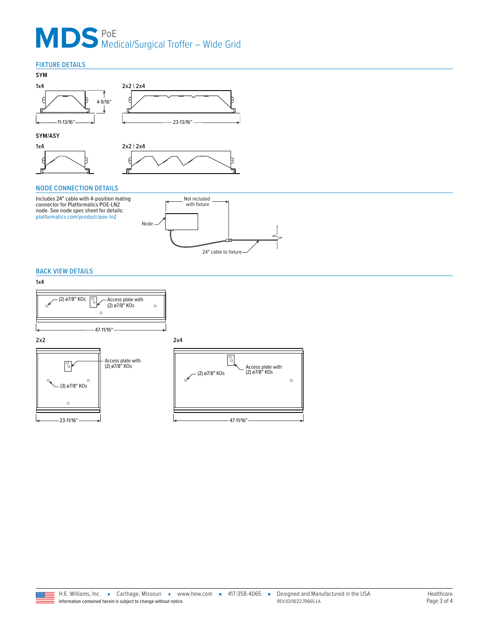# MDS<sup>PoE</sup> Medical/Surgical Troffer – Wide Grid

## FIXTURE DETAILS



### **SYM/ASY**





## <span id="page-2-0"></span>NODE CONNECTION DETAILS

Includes 24″ cable with 4-position mating connector for Platformatics POE-LN2 node. See node spec sheet for details: [platformatics.com/product/poe-ln2](https://www.platformatics.com/product/poe-ln2)



 $\circ$ 

### BACK VIEW DETAILS